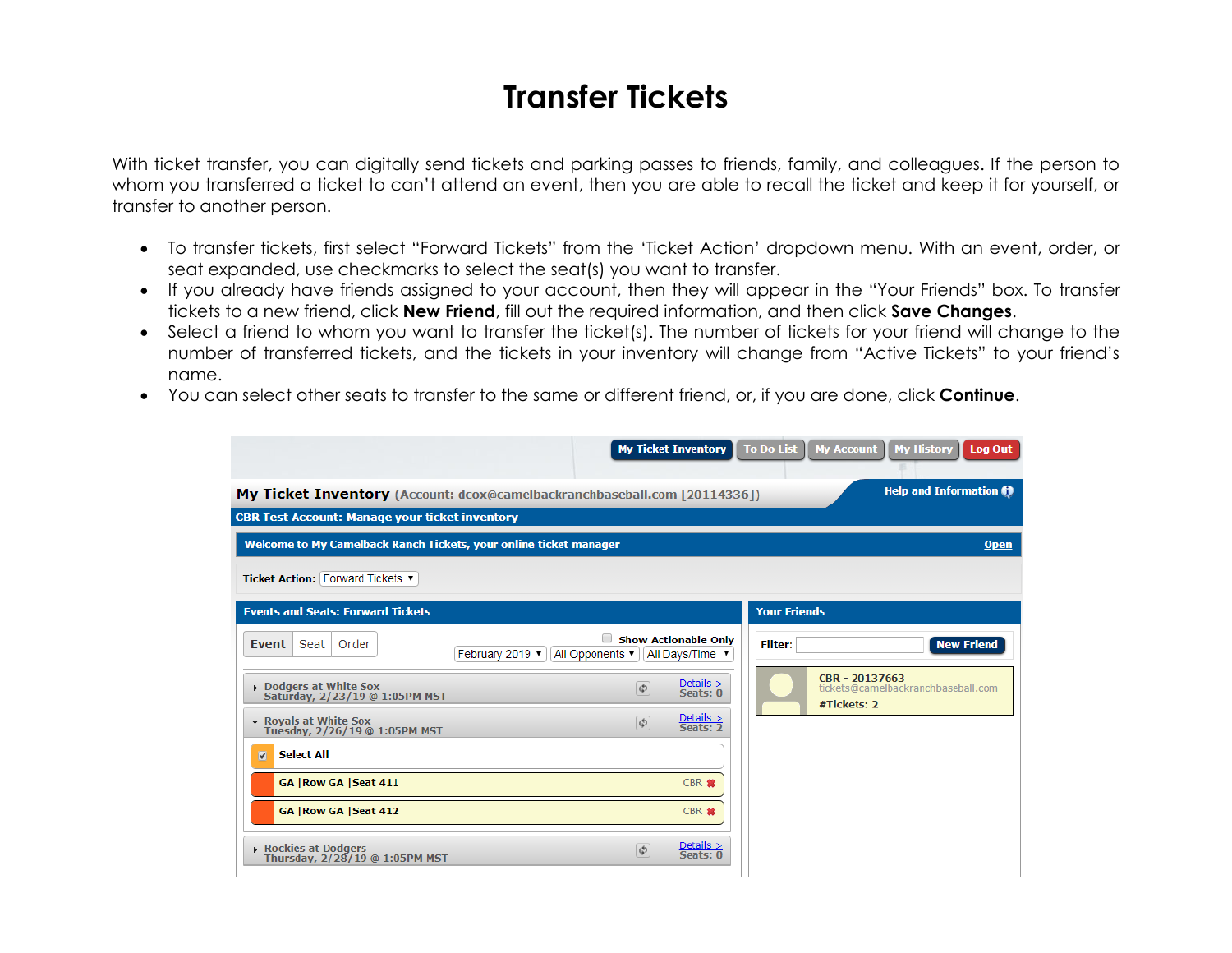## **Transfer Tickets**

With ticket transfer, you can digitally send tickets and parking passes to friends, family, and colleagues. If the person to whom you transferred a ticket to can't attend an event, then you are able to recall the ticket and keep it for yourself, or transfer to another person.

- To transfer tickets, first select "Forward Tickets" from the 'Ticket Action' dropdown menu. With an event, order, or seat expanded, use checkmarks to select the seat(s) you want to transfer.
- If you already have friends assigned to your account, then they will appear in the "Your Friends" box. To transfer tickets to a new friend, click **New Friend**, fill out the required information, and then click **Save Changes**.
- Select a friend to whom you want to transfer the ticket(s). The number of tickets for your friend will change to the number of transferred tickets, and the tickets in your inventory will change from "Active Tickets" to your friend's name.
- You can select other seats to transfer to the same or different friend, or, if you are done, click **Continue**.

|                                                                                  | <b>My Ticket Inventory</b>                                      | <b>To Do List</b><br><b>My Account</b><br><b>My History</b><br><b>Log Out</b> |
|----------------------------------------------------------------------------------|-----------------------------------------------------------------|-------------------------------------------------------------------------------|
| <b>My Ticket Inventory</b> (Account: dcox@camelbackranchbaseball.com [20114336]) |                                                                 | <b>Help and Information @</b>                                                 |
| <b>CBR Test Account: Manage your ticket inventory</b>                            |                                                                 |                                                                               |
| Welcome to My Camelback Ranch Tickets, your online ticket manager                |                                                                 | <b>Open</b>                                                                   |
| Ticket Action: Forward Tickets                                                   |                                                                 |                                                                               |
| <b>Events and Seats: Forward Tickets</b>                                         |                                                                 | <b>Your Friends</b>                                                           |
| Order<br>Seat<br>Event<br>February 2019 v                                        | <b>Show Actionable Only</b><br>All Opponents<br>All Days/Time v | <b>New Friend</b><br><b>Filter:</b>                                           |
| Dodgers at White Sox<br>Saturday, 2/23/19 @ 1:05PM MST                           | $Details >Seats: 0$<br>$\phi$                                   | CBR - 20137663<br>tickets@camelbackranchbaseball.com<br>#Tickets: 2           |
| • Royals at White Sox<br>Tuesday, 2/26/19 @ 1:05PM MST                           | $Details >Seats: 2$<br>$\phi$                                   |                                                                               |
| <b>Select All</b><br>$\overline{v}$                                              |                                                                 |                                                                               |
| GA   Row GA   Seat 411                                                           | CBR *                                                           |                                                                               |
| GA   Row GA   Seat 412                                                           | CBR #                                                           |                                                                               |
| Rockies at Dodgers<br>Thursday, 2/28/19 @ 1:05PM MST                             | $Details >Seats: 0$<br>$\phi$                                   |                                                                               |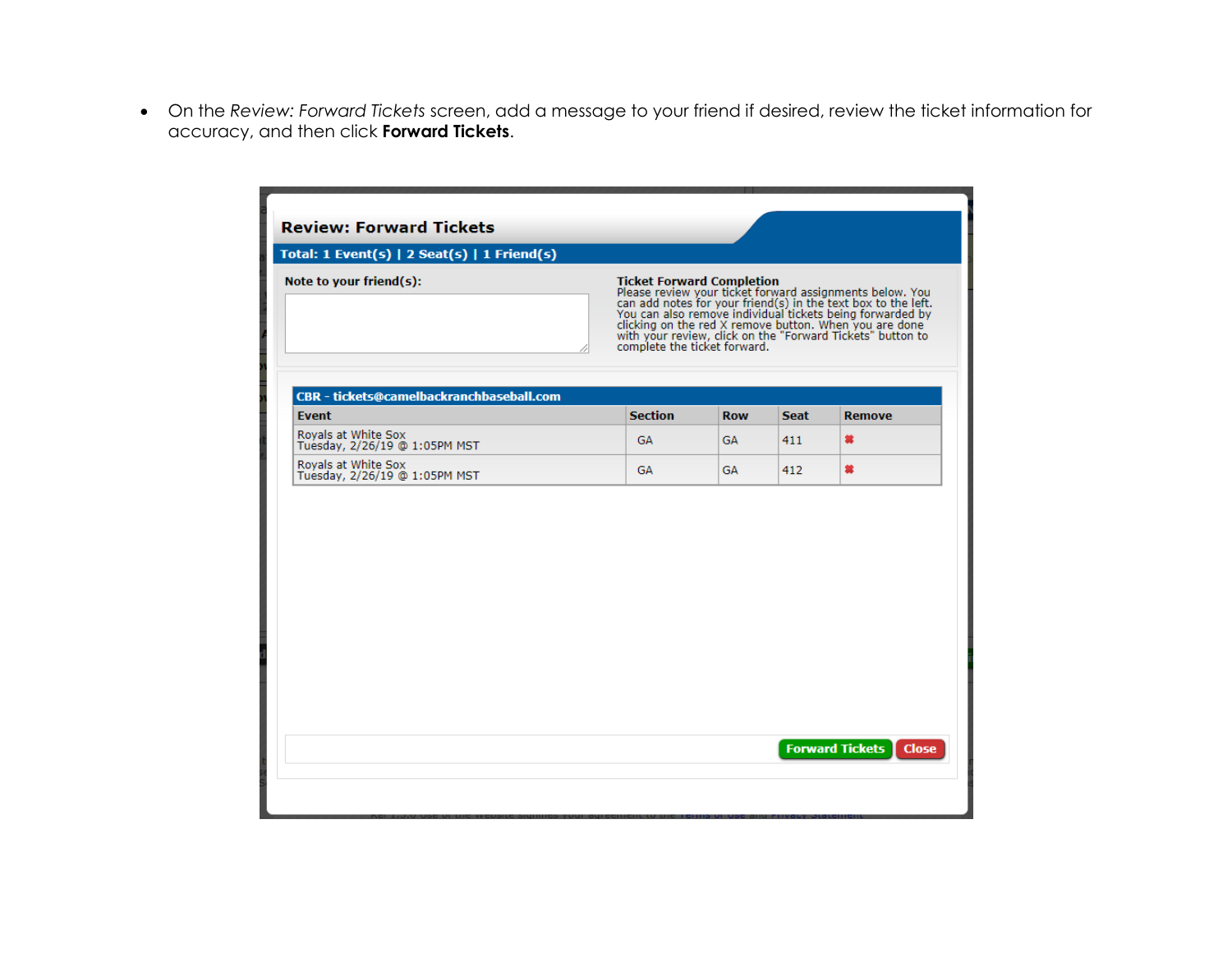• On the *Review: Forward Tickets* screen, add a message to your friend if desired, review the ticket information for accuracy, and then click **Forward Tickets**.

| Total: 1 Event(s)   2 Seat(s)   1 Friend(s)              |                                                                  |            |             |                                                                                                                                                                                                                                                                                                                |
|----------------------------------------------------------|------------------------------------------------------------------|------------|-------------|----------------------------------------------------------------------------------------------------------------------------------------------------------------------------------------------------------------------------------------------------------------------------------------------------------------|
| Note to your friend(s):                                  | <b>Ticket Forward Completion</b><br>complete the ticket forward. |            |             | Please review your ticket forward assignments below. You<br>can add notes for your friend(s) in the text box to the left.<br>You can also remove individual tickets being forwarded by<br>clicking on the red X remove button. When you are done<br>with your review, click on the "Forward Tickets" button to |
| CBR - tickets@camelbackranchbaseball.com<br><b>Event</b> | <b>Section</b>                                                   | <b>Row</b> | <b>Seat</b> | <b>Remove</b>                                                                                                                                                                                                                                                                                                  |
| Royals at White Sox<br>Tuesday, 2/26/19 @ 1:05PM MST     | <b>GA</b>                                                        | <b>GA</b>  | 411         | 裳                                                                                                                                                                                                                                                                                                              |
| Royals at White Sox<br>Tuesday, 2/26/19 @ 1:05PM MST     | <b>GA</b>                                                        | GA.        | 412         | 當                                                                                                                                                                                                                                                                                                              |
|                                                          |                                                                  |            |             |                                                                                                                                                                                                                                                                                                                |
|                                                          |                                                                  |            |             |                                                                                                                                                                                                                                                                                                                |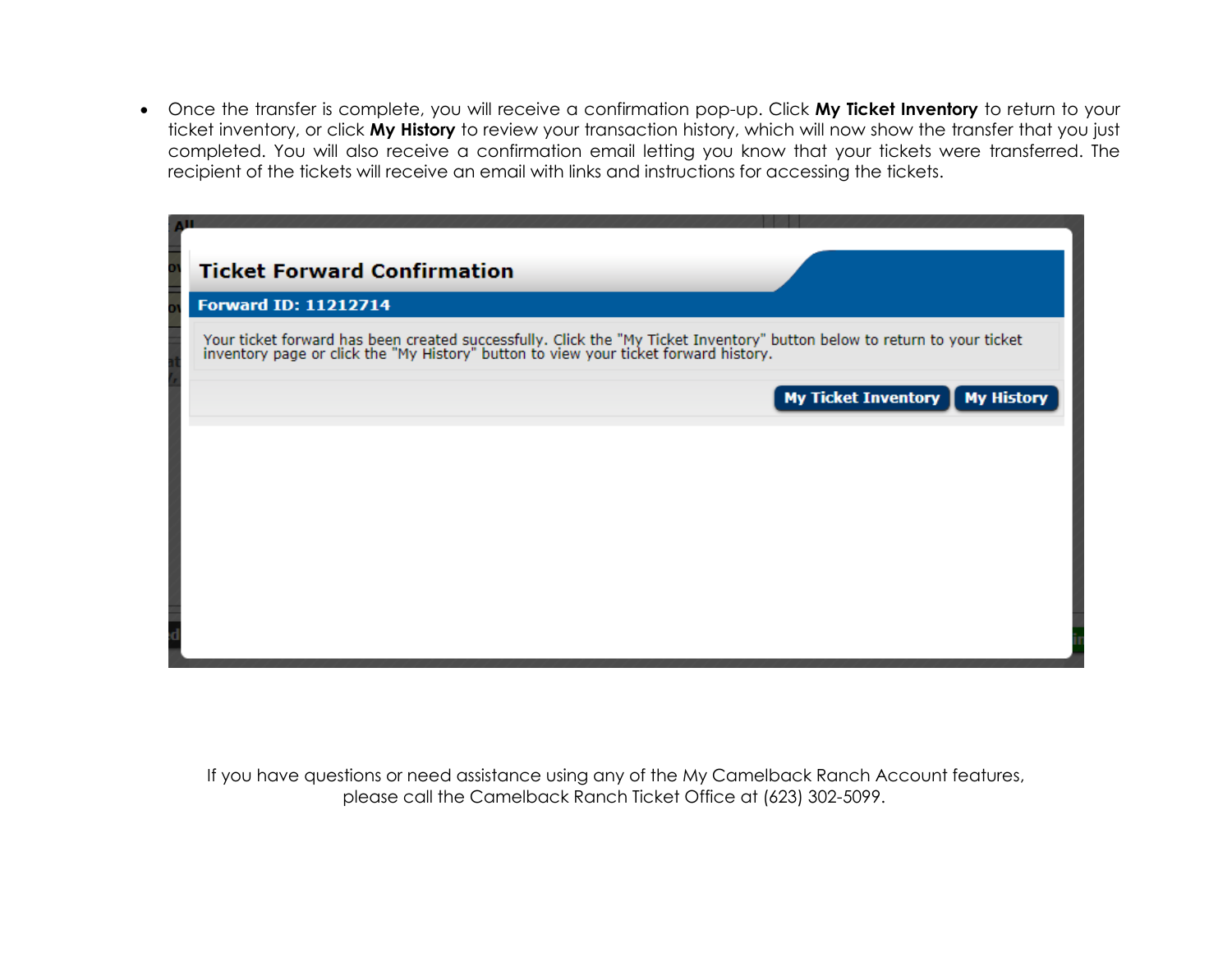• Once the transfer is complete, you will receive a confirmation pop-up. Click **My Ticket Inventory** to return to your ticket inventory, or click **My History** to review your transaction history, which will now show the transfer that you just completed. You will also receive a confirmation email letting you know that your tickets were transferred. The recipient of the tickets will receive an email with links and instructions for accessing the tickets.

| <b>Ticket Forward Confirmation</b>                                                                                                                                                                               |  |
|------------------------------------------------------------------------------------------------------------------------------------------------------------------------------------------------------------------|--|
| <b>Forward ID: 11212714</b>                                                                                                                                                                                      |  |
| Your ticket forward has been created successfully. Click the "My Ticket Inventory" button below to return to your ticket<br>inventory page or click the "My History" button to view your ticket forward history. |  |
| <b>My Ticket Inventory</b><br><b>My History</b>                                                                                                                                                                  |  |
|                                                                                                                                                                                                                  |  |
|                                                                                                                                                                                                                  |  |
|                                                                                                                                                                                                                  |  |
|                                                                                                                                                                                                                  |  |
|                                                                                                                                                                                                                  |  |

If you have questions or need assistance using any of the My Camelback Ranch Account features, please call the Camelback Ranch Ticket Office at (623) 302-5099.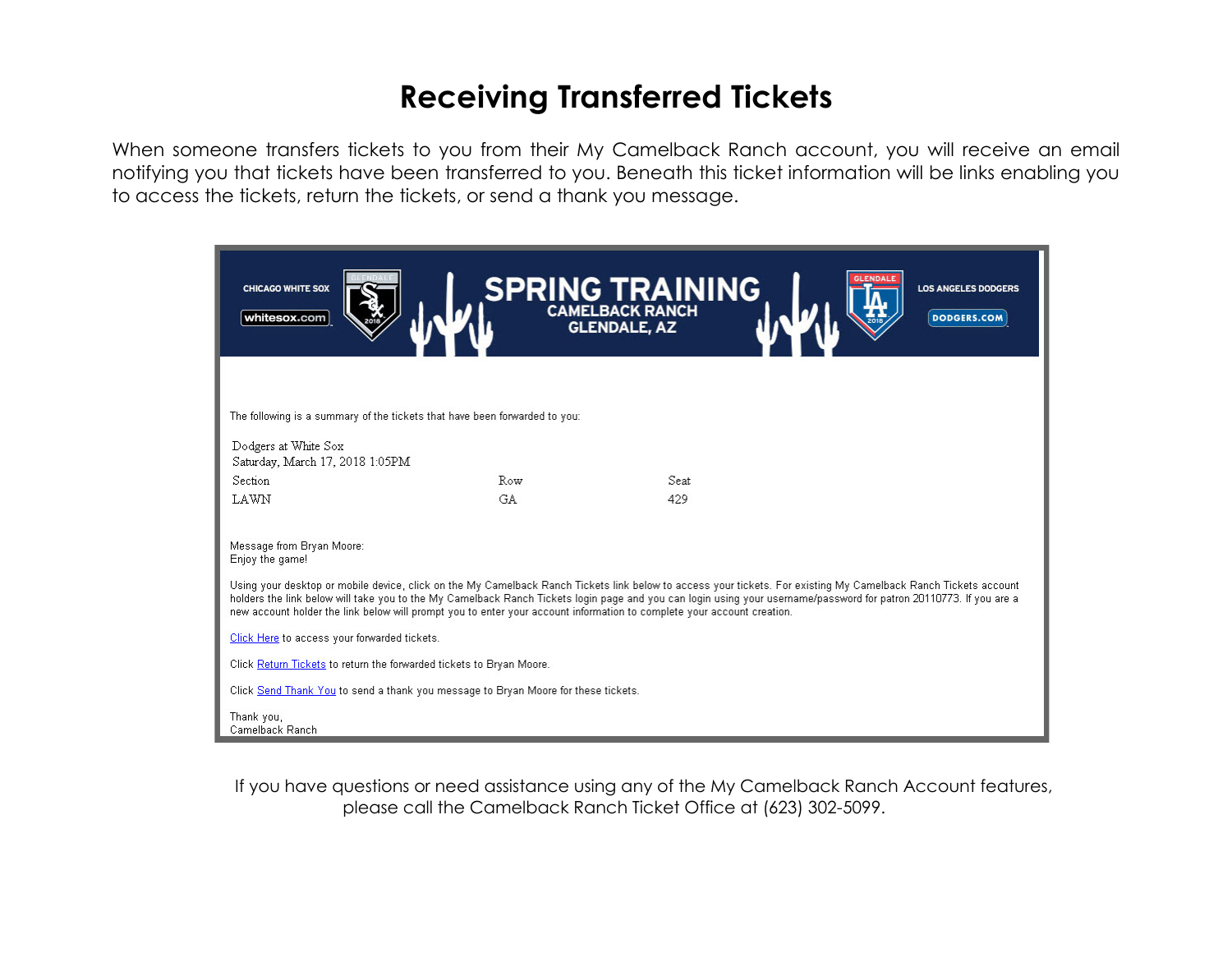## **Receiving Transferred Tickets**

When someone transfers tickets to you from their My Camelback Ranch account, you will receive an email notifying you that tickets have been transferred to you. Beneath this ticket information will be links enabling you to access the tickets, return the tickets, or send a thank you message.



If you have questions or need assistance using any of the My Camelback Ranch Account features, please call the Camelback Ranch Ticket Office at (623) 302-5099.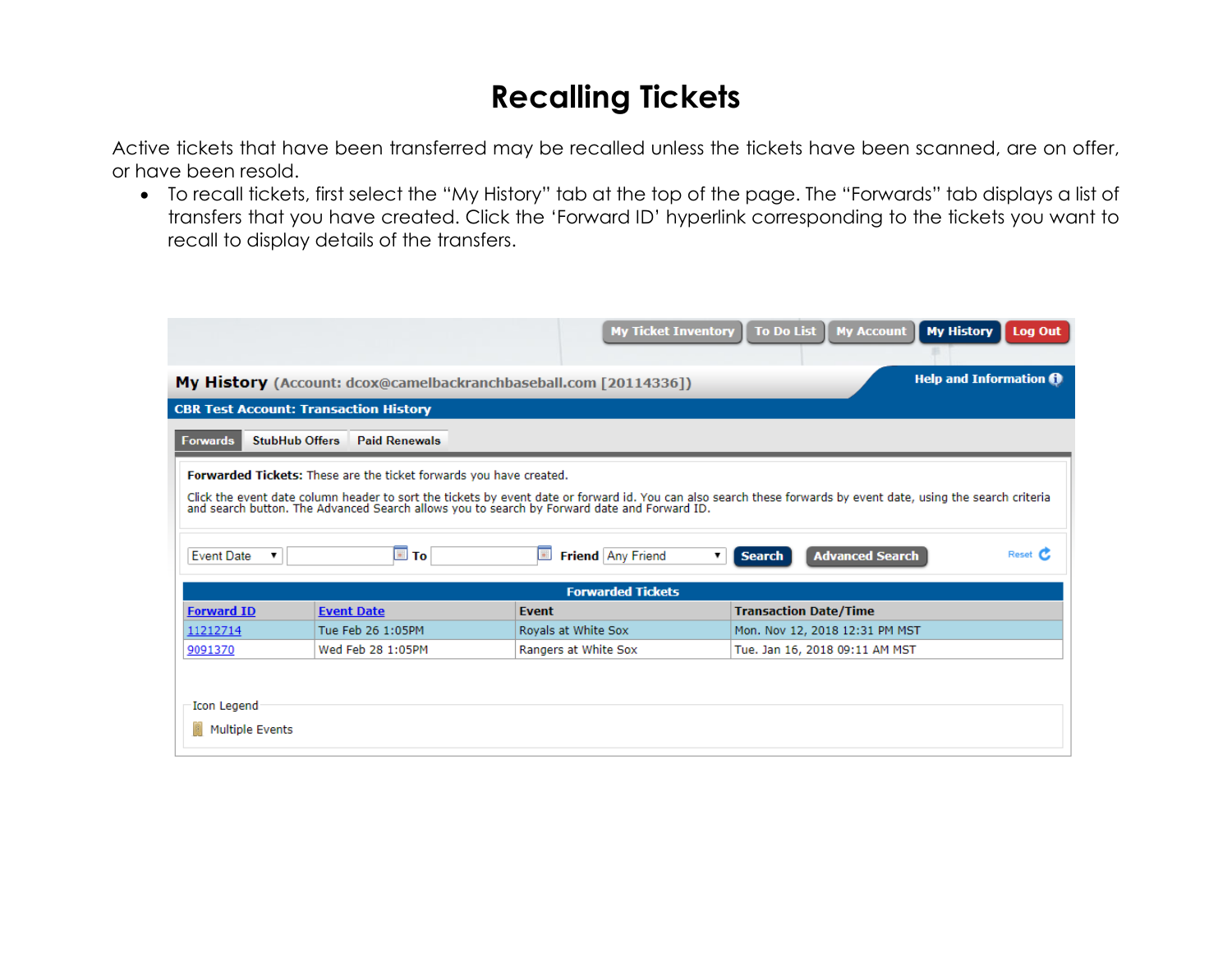## **Recalling Tickets**

Active tickets that have been transferred may be recalled unless the tickets have been scanned, are on offer, or have been resold.

• To recall tickets, first select the "My History" tab at the top of the page. The "Forwards" tab displays a list of transfers that you have created. Click the 'Forward ID' hyperlink corresponding to the tickets you want to recall to display details of the transfers.

|                                                                                                                                                                                                                                                                                                                                                                                                                                           |                                               | <b>My Ticket Inventory</b>                                              | <b>To Do List</b><br><b>My History</b><br><b>My Account</b><br>Log Out |  |  |  |
|-------------------------------------------------------------------------------------------------------------------------------------------------------------------------------------------------------------------------------------------------------------------------------------------------------------------------------------------------------------------------------------------------------------------------------------------|-----------------------------------------------|-------------------------------------------------------------------------|------------------------------------------------------------------------|--|--|--|
|                                                                                                                                                                                                                                                                                                                                                                                                                                           |                                               | <b>My History</b> (Account: dcox@camelbackranchbaseball.com [20114336]) | <b>Help and Information 0</b>                                          |  |  |  |
|                                                                                                                                                                                                                                                                                                                                                                                                                                           | <b>CBR Test Account: Transaction History</b>  |                                                                         |                                                                        |  |  |  |
| <b>Forwards</b>                                                                                                                                                                                                                                                                                                                                                                                                                           | <b>StubHub Offers</b><br><b>Paid Renewals</b> |                                                                         |                                                                        |  |  |  |
| <b>Forwarded Tickets:</b> These are the ticket forwards you have created.<br>Click the event date column header to sort the tickets by event date or forward id. You can also search these forwards by event date, using the search criteria<br>and search button. The Advanced Search allows you to search by<br>Reset C<br>Friend Any Friend<br><b>Advanced Search</b><br><b>Event Date</b><br><b>L</b> To<br>I a<br><b>Search</b><br>▼ |                                               |                                                                         |                                                                        |  |  |  |
|                                                                                                                                                                                                                                                                                                                                                                                                                                           |                                               | <b>Forwarded Tickets</b>                                                |                                                                        |  |  |  |
| <b>Forward ID</b>                                                                                                                                                                                                                                                                                                                                                                                                                         | <b>Event Date</b>                             | <b>Event</b>                                                            | <b>Transaction Date/Time</b>                                           |  |  |  |
| 11212714                                                                                                                                                                                                                                                                                                                                                                                                                                  | Tue Feb 26 1:05PM                             | Royals at White Sox                                                     | Mon. Nov 12, 2018 12:31 PM MST                                         |  |  |  |
| 9091370                                                                                                                                                                                                                                                                                                                                                                                                                                   | Wed Feb 28 1:05PM                             | Rangers at White Sox                                                    | Tue. Jan 16, 2018 09:11 AM MST                                         |  |  |  |
| Icon Legend<br><b>Multiple Events</b>                                                                                                                                                                                                                                                                                                                                                                                                     |                                               |                                                                         |                                                                        |  |  |  |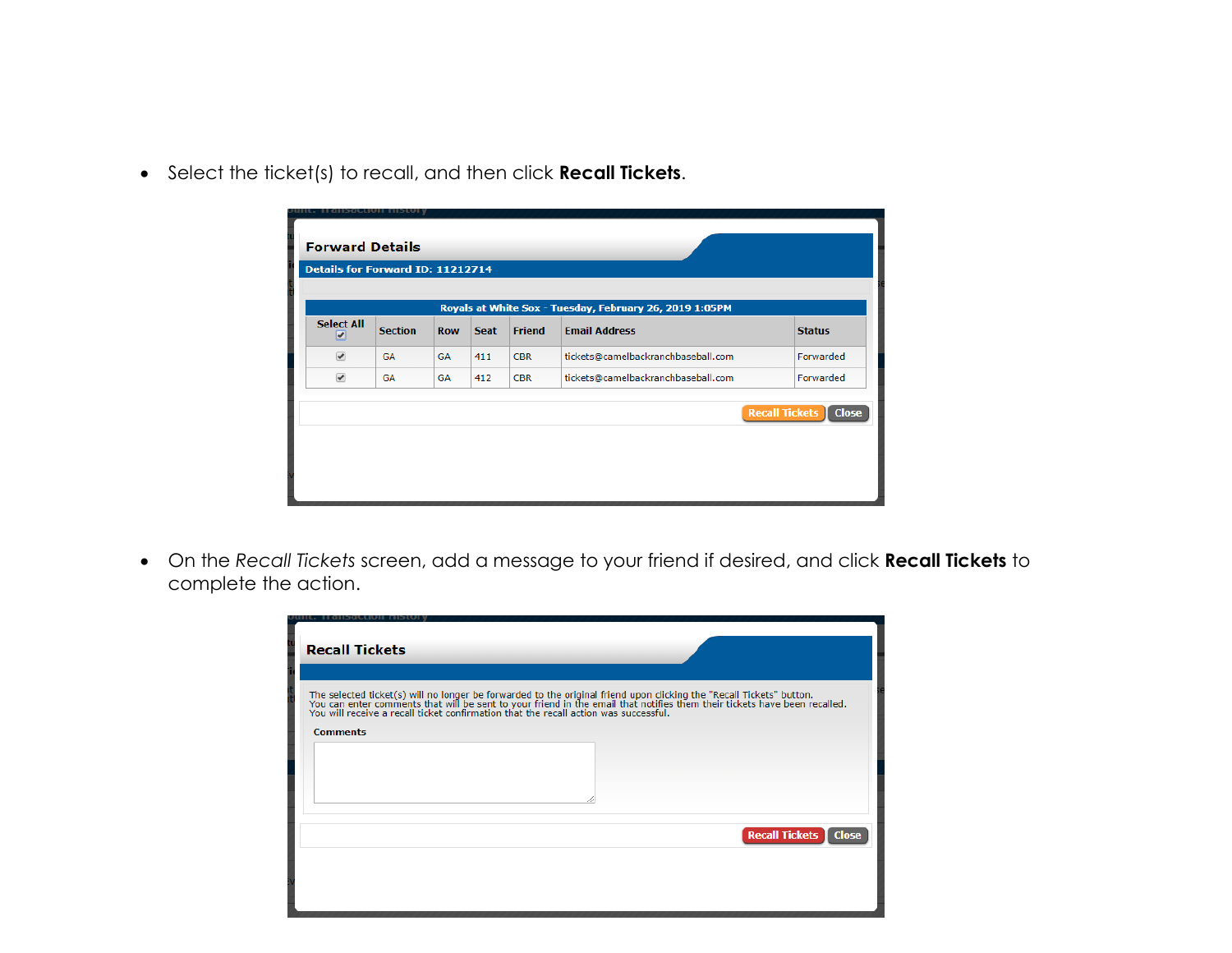• Select the ticket(s) to recall, and then click **Recall Tickets**.

| יוטופות וושפתומות הואנטרו<br><b>Forward Details</b><br>Details for Forward ID: 11212714 |                |            |             |               |                                    |                                       |
|-----------------------------------------------------------------------------------------|----------------|------------|-------------|---------------|------------------------------------|---------------------------------------|
| Royals at White Sox - Tuesday, February 26, 2019 1:05PM                                 |                |            |             |               |                                    |                                       |
| <b>Select All</b><br>☑                                                                  | <b>Section</b> | <b>Row</b> | <b>Seat</b> | <b>Friend</b> | <b>Email Address</b>               | <b>Status</b>                         |
| $\overline{\mathcal{L}}$                                                                | <b>GA</b>      | <b>GA</b>  | 411         | <b>CBR</b>    | tickets@camelbackranchbaseball.com | Forwarded                             |
| $\overline{\mathcal{L}}$                                                                | <b>GA</b>      | GA         | 412         | <b>CBR</b>    | tickets@camelbackranchbaseball.com | Forwarded                             |
|                                                                                         |                |            |             |               |                                    | <b>Recall Tickets</b><br><b>Close</b> |

• On the *Recall Tickets* screen, add a message to your friend if desired, and click **Recall Tickets** to complete the action.

| ansacuon<br><b>Recall Tickets</b>                                                                                                                                                                                                                    |                                         |
|------------------------------------------------------------------------------------------------------------------------------------------------------------------------------------------------------------------------------------------------------|-----------------------------------------|
| The selected ticket(s) will no longer be forwarded to the original friend upon clicking the "Recall Tickets" button.<br>You can enter comments that will be sent to your friend in the email that notifies them their tickets hav<br><b>Comments</b> |                                         |
|                                                                                                                                                                                                                                                      |                                         |
|                                                                                                                                                                                                                                                      | <b>Recall Tickets</b>  <br><b>Close</b> |
|                                                                                                                                                                                                                                                      |                                         |